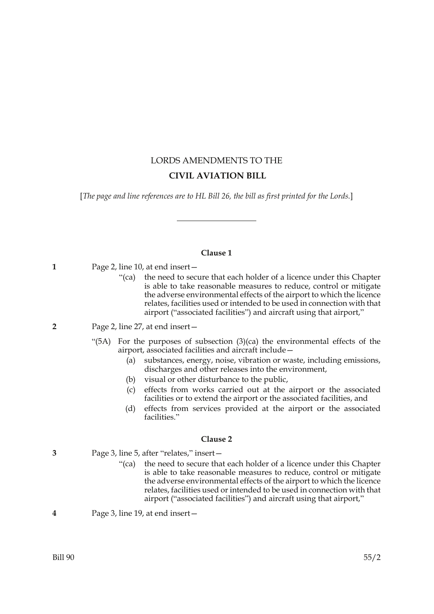# LORDS AMENDMENTS TO THE  **CIVIL AVIATION BILL**

[*The page and line references are to HL Bill 26, the bill as first printed for the Lords.*]

# **Clause 1**

**1** Page 2, line 10, at end insert—

- "(ca) the need to secure that each holder of a licence under this Chapter is able to take reasonable measures to reduce, control or mitigate the adverse environmental effects of the airport to which the licence relates, facilities used or intended to be used in connection with that airport ("associated facilities") and aircraft using that airport,"
- **2** Page 2, line 27, at end insert—
	- "(5A) For the purposes of subsection  $(3)(ca)$  the environmental effects of the airport, associated facilities and aircraft include—
		- (a) substances, energy, noise, vibration or waste, including emissions, discharges and other releases into the environment,
		- (b) visual or other disturbance to the public,
		- (c) effects from works carried out at the airport or the associated facilities or to extend the airport or the associated facilities, and
		- (d) effects from services provided at the airport or the associated facilities."

# **Clause 2**

- **3** Page 3, line 5, after "relates," insert—
	- "(ca) the need to secure that each holder of a licence under this Chapter is able to take reasonable measures to reduce, control or mitigate the adverse environmental effects of the airport to which the licence relates, facilities used or intended to be used in connection with that airport ("associated facilities") and aircraft using that airport,"
- **4** Page 3, line 19, at end insert—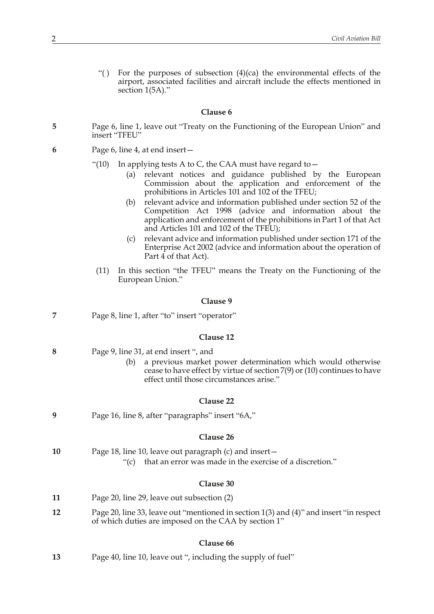"() For the purposes of subsection  $(4)(ca)$  the environmental effects of the airport, associated facilities and aircraft include the effects mentioned in section 1(5A)."

#### **Clause 6**

- **5** Page 6, line 1, leave out "Treaty on the Functioning of the European Union" and insert "TFEU"
- **6** Page 6, line 4, at end insert—
	- "(10) In applying tests A to C, the CAA must have regard to  $-$ 
		- (a) relevant notices and guidance published by the European Commission about the application and enforcement of the prohibitions in Articles 101 and 102 of the TFEU;
		- (b) relevant advice and information published under section 52 of the Competition Act 1998 (advice and information about the application and enforcement of the prohibitions in Part 1 of that Act and Articles 101 and 102 of the TFEU);
		- (c) relevant advice and information published under section 171 of the Enterprise Act 2002 (advice and information about the operation of Part  $\overline{4}$  of that Act).
	- (11) In this section "the TFEU" means the Treaty on the Functioning of the European Union."

### **Clause 9**

| Page 8, line 1, after "to" insert "operator" |
|----------------------------------------------|
|                                              |

### **Clause 12**

| 8 | Page 9, line 31, at end insert ", and |
|---|---------------------------------------|
|---|---------------------------------------|

(b) a previous market power determination which would otherwise cease to have effect by virtue of section 7(9) or (10) continues to have effect until those circumstances arise."

### **Clause 22**

**9** Page 16, line 8, after "paragraphs" insert "6A,"

### **Clause 26**

| 10 | Page 18, line 10, leave out paragraph (c) and insert-         |
|----|---------------------------------------------------------------|
|    | "(c) that an error was made in the exercise of a discretion." |

### **Clause 30**

| 11 | Page 20, line 29, leave out subsection (2) |  |
|----|--------------------------------------------|--|
|----|--------------------------------------------|--|

**12** Page 20, line 33, leave out "mentioned in section 1(3) and (4)" and insert "in respect of which duties are imposed on the CAA by section 1"

### **Clause 66**

**13** Page 40, line 10, leave out ", including the supply of fuel"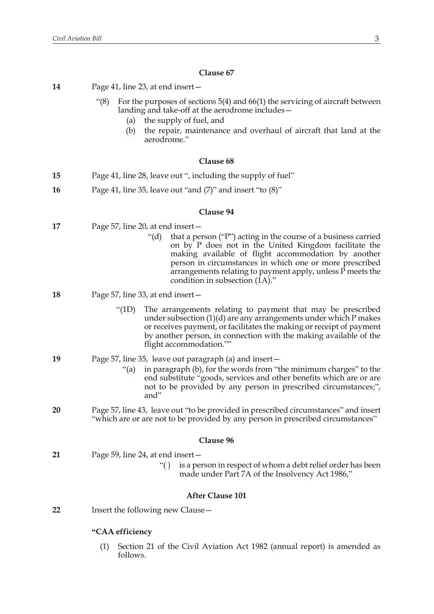# **Clause 67**

| 14 | Page 41, line 23, at end insert –                                                                                                                                                                                                                                                                                                                      |
|----|--------------------------------------------------------------------------------------------------------------------------------------------------------------------------------------------------------------------------------------------------------------------------------------------------------------------------------------------------------|
|    | For the purposes of sections $5(4)$ and $66(1)$ the servicing of aircraft between<br>" $(8)$<br>landing and take-off at the aerodrome includes –<br>the supply of fuel, and<br>(a)                                                                                                                                                                     |
|    | the repair, maintenance and overhaul of aircraft that land at the<br>(b)<br>aerodrome."                                                                                                                                                                                                                                                                |
|    | Clause 68                                                                                                                                                                                                                                                                                                                                              |
| 15 | Page 41, line 28, leave out ", including the supply of fuel"                                                                                                                                                                                                                                                                                           |
| 16 | Page 41, line 35, leave out "and $(7)$ " and insert "to $(8)$ "                                                                                                                                                                                                                                                                                        |
|    | Clause 94                                                                                                                                                                                                                                                                                                                                              |
| 17 | Page 57, line 20, at end insert –                                                                                                                                                                                                                                                                                                                      |
|    | " $(d)$ "<br>that a person ("P") acting in the course of a business carried<br>on by P does not in the United Kingdom facilitate the<br>making available of flight accommodation by another<br>person in circumstances in which one or more prescribed<br>arrangements relating to payment apply, unless P meets the<br>condition in subsection (1A)." |
| 18 | Page 57, line 33, at end insert –                                                                                                                                                                                                                                                                                                                      |
|    | " $(1D)$<br>The arrangements relating to payment that may be prescribed<br>under subsection $(1)(d)$ are any arrangements under which P makes<br>or receives payment, or facilitates the making or receipt of payment<br>by another person, in connection with the making available of the<br>flight accommodation.""                                  |
| 19 | Page 57, line 35, leave out paragraph (a) and insert –<br>"(a) in paragraph (b), for the words from "the minimum charges" to the<br>end substitute "goods, services and other benefits which are or are<br>not to be provided by any person in prescribed circumstances;",<br>and"                                                                     |
| 20 | Page 57, line 43, leave out "to be provided in prescribed circumstances" and insert<br>"which are or are not to be provided by any person in prescribed circumstances"                                                                                                                                                                                 |
|    | Clause 96                                                                                                                                                                                                                                                                                                                                              |
| 21 | Page 59, line 24, at end insert-                                                                                                                                                                                                                                                                                                                       |
|    | is a person in respect of whom a debt relief order has been<br>``()<br>made under Part 7A of the Insolvency Act 1986,"                                                                                                                                                                                                                                 |
|    | <b>After Clause 101</b>                                                                                                                                                                                                                                                                                                                                |
| 22 | Insert the following new Clause -                                                                                                                                                                                                                                                                                                                      |
|    | "CAA efficiency                                                                                                                                                                                                                                                                                                                                        |
|    | Section 21 of the Civil Aviation Act 1982 (annual report) is amended as<br>(1)                                                                                                                                                                                                                                                                         |

follows.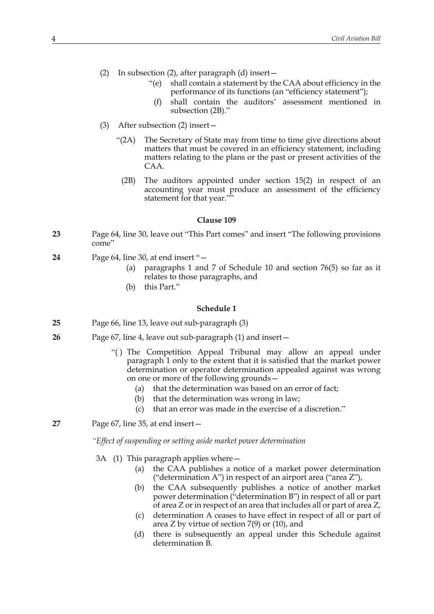- (2) In subsection (2), after paragraph (d) insert—
	- "(e) shall contain a statement by the CAA about efficiency in the performance of its functions (an "efficiency statement");
		- (f) shall contain the auditors' assessment mentioned in subsection (2B)."
- (3) After subsection (2) insert—
	- "(2A) The Secretary of State may from time to time give directions about matters that must be covered in an efficiency statement, including matters relating to the plans or the past or present activities of the CAA.
		- (2B) The auditors appointed under section 15(2) in respect of an accounting year must produce an assessment of the efficiency statement for that year.""

### **Clause 109**

- **23** Page 64, line 30, leave out "This Part comes" and insert "The following provisions come"
- **24** Page 64, line 30, at end insert "—
	- (a) paragraphs 1 and 7 of Schedule 10 and section 76(5) so far as it relates to those paragraphs, and
	- (b) this Part."

### **Schedule 1**

- **25** Page 66, line 13, leave out sub-paragraph (3)
- **26** Page 67, line 4, leave out sub-paragraph (1) and insert—
	- "() The Competition Appeal Tribunal may allow an appeal under paragraph 1 only to the extent that it is satisfied that the market power determination or operator determination appealed against was wrong on one or more of the following grounds—
		- (a) that the determination was based on an error of fact;
		- (b) that the determination was wrong in law;
		- (c) that an error was made in the exercise of a discretion."
- **27** Page 67, line 35, at end insert—

*"Effect of suspending or setting aside market power determination*

- 3A (1) This paragraph applies where—
	- (a) the CAA publishes a notice of a market power determination ("determination A") in respect of an airport area ("area Z"),
	- (b) the CAA subsequently publishes a notice of another market power determination ("determination B") in respect of all or part of area Z or in respect of an area that includes all or part of area Z,
	- (c) determination A ceases to have effect in respect of all or part of area Z by virtue of section 7(9) or (10), and
	- (d) there is subsequently an appeal under this Schedule against determination B.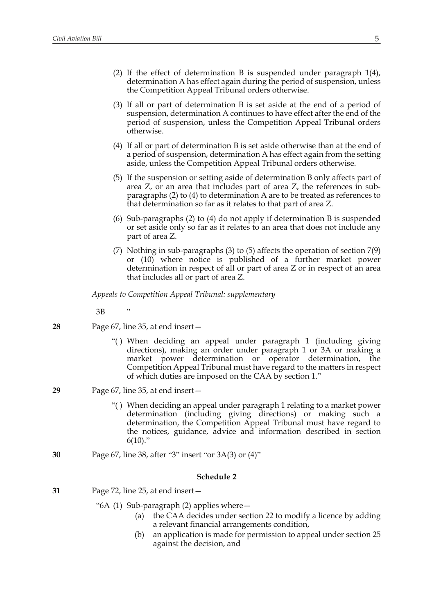- (2) If the effect of determination B is suspended under paragraph 1(4), determination A has effect again during the period of suspension, unless the Competition Appeal Tribunal orders otherwise.
- (3) If all or part of determination B is set aside at the end of a period of suspension, determination A continues to have effect after the end of the period of suspension, unless the Competition Appeal Tribunal orders otherwise.
- (4) If all or part of determination B is set aside otherwise than at the end of a period of suspension, determination A has effect again from the setting aside, unless the Competition Appeal Tribunal orders otherwise.
- (5) If the suspension or setting aside of determination B only affects part of area Z, or an area that includes part of area Z, the references in subparagraphs (2) to (4) to determination A are to be treated as references to that determination so far as it relates to that part of area Z.
- (6) Sub-paragraphs (2) to (4) do not apply if determination B is suspended or set aside only so far as it relates to an area that does not include any part of area Z.
- (7) Nothing in sub-paragraphs (3) to (5) affects the operation of section 7(9) or (10) where notice is published of a further market power determination in respect of all or part of area Z or in respect of an area that includes all or part of area Z.

*Appeals to Competition Appeal Tribunal: supplementary*

 $3B$ 

- **28** Page 67, line 35, at end insert—
	- "( ) When deciding an appeal under paragraph 1 (including giving directions), making an order under paragraph 1 or 3A or making a market power determination or operator determination, the Competition Appeal Tribunal must have regard to the matters in respect of which duties are imposed on the CAA by section 1."
- **29** Page 67, line 35, at end insert—
	- "( ) When deciding an appeal under paragraph 1 relating to a market power determination (including giving directions) or making such a determination, the Competition Appeal Tribunal must have regard to the notices, guidance, advice and information described in section  $6(10)$ ."
- **30** Page 67, line 38, after "3" insert "or 3A(3) or (4)"

- **31** Page 72, line 25, at end insert—
	- "6A (1) Sub-paragraph (2) applies where—
		- (a) the CAA decides under section 22 to modify a licence by adding a relevant financial arrangements condition,
		- (b) an application is made for permission to appeal under section 25 against the decision, and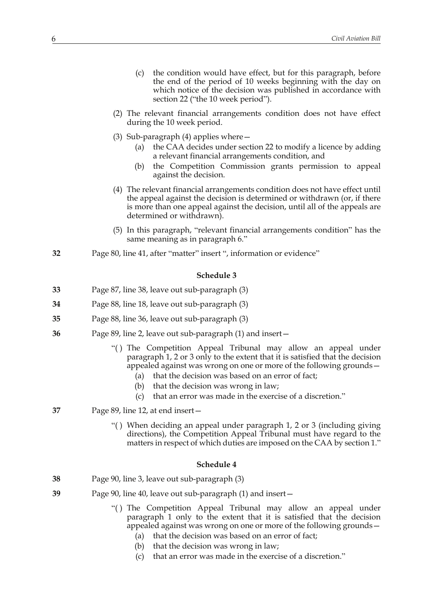- (c) the condition would have effect, but for this paragraph, before the end of the period of 10 weeks beginning with the day on which notice of the decision was published in accordance with section 22 ("the 10 week period").
- (2) The relevant financial arrangements condition does not have effect during the 10 week period.
- (3) Sub-paragraph (4) applies where  $-$ 
	- (a) the CAA decides under section 22 to modify a licence by adding a relevant financial arrangements condition, and
	- (b) the Competition Commission grants permission to appeal against the decision.
- (4) The relevant financial arrangements condition does not have effect until the appeal against the decision is determined or withdrawn (or, if there is more than one appeal against the decision, until all of the appeals are determined or withdrawn).
- (5) In this paragraph, "relevant financial arrangements condition" has the same meaning as in paragraph 6."
- **32** Page 80, line 41, after "matter" insert ", information or evidence"

### **Schedule 3**

- **33** Page 87, line 38, leave out sub-paragraph (3)
- **34** Page 88, line 18, leave out sub-paragraph (3)
- **35** Page 88, line 36, leave out sub-paragraph (3)
- **36** Page 89, line 2, leave out sub-paragraph (1) and insert—
	- "( ) The Competition Appeal Tribunal may allow an appeal under paragraph 1, 2 or 3 only to the extent that it is satisfied that the decision appealed against was wrong on one or more of the following grounds—
		- (a) that the decision was based on an error of fact;
		- (b) that the decision was wrong in law;
		- (c) that an error was made in the exercise of a discretion."
- **37** Page 89, line 12, at end insert—
	- "( ) When deciding an appeal under paragraph 1, 2 or 3 (including giving directions), the Competition Appeal Tribunal must have regard to the matters in respect of which duties are imposed on the CAA by section 1."

- **38** Page 90, line 3, leave out sub-paragraph (3)
- **39** Page 90, line 40, leave out sub-paragraph (1) and insert—
	- "( ) The Competition Appeal Tribunal may allow an appeal under paragraph 1 only to the extent that it is satisfied that the decision appealed against was wrong on one or more of the following grounds—
		- (a) that the decision was based on an error of fact;
		- (b) that the decision was wrong in law;
		- (c) that an error was made in the exercise of a discretion."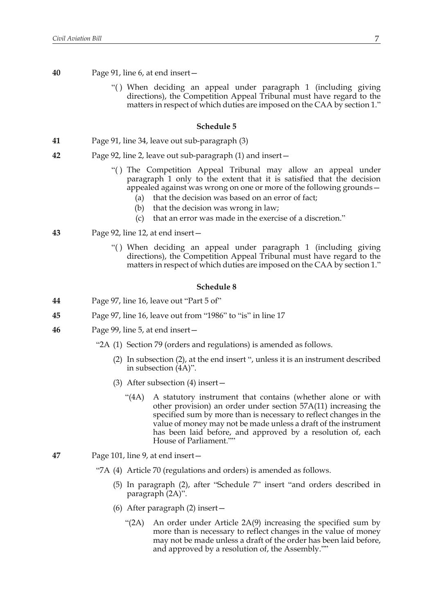- **40** Page 91, line 6, at end insert—
	- "( ) When deciding an appeal under paragraph 1 (including giving directions), the Competition Appeal Tribunal must have regard to the matters in respect of which duties are imposed on the CAA by section 1."

### **Schedule 5**

- **41** Page 91, line 34, leave out sub-paragraph (3)
- **42** Page 92, line 2, leave out sub-paragraph (1) and insert—
	- "( ) The Competition Appeal Tribunal may allow an appeal under paragraph 1 only to the extent that it is satisfied that the decision appealed against was wrong on one or more of the following grounds—
		- (a) that the decision was based on an error of fact;
		- (b) that the decision was wrong in law;
		- (c) that an error was made in the exercise of a discretion."
- **43** Page 92, line 12, at end insert—
	- "( ) When deciding an appeal under paragraph 1 (including giving directions), the Competition Appeal Tribunal must have regard to the matters in respect of which duties are imposed on the CAA by section 1."

- **44** Page 97, line 16, leave out "Part 5 of"
- **45** Page 97, line 16, leave out from "1986" to "is" in line 17
- **46** Page 99, line 5, at end insert—
	- "2A (1) Section 79 (orders and regulations) is amended as follows.
		- (2) In subsection (2), at the end insert ", unless it is an instrument described in subsection (4A)".
		- (3) After subsection (4) insert—
			- "(4A) A statutory instrument that contains (whether alone or with other provision) an order under section 57A(11) increasing the specified sum by more than is necessary to reflect changes in the value of money may not be made unless a draft of the instrument has been laid before, and approved by a resolution of, each House of Parliament.""
- **47** Page 101, line 9, at end insert—
	- "7A (4) Article 70 (regulations and orders) is amended as follows.
		- (5) In paragraph (2), after "Schedule 7" insert "and orders described in paragraph (2A)".
		- (6) After paragraph (2) insert—
			- "(2A) An order under Article 2A(9) increasing the specified sum by more than is necessary to reflect changes in the value of money may not be made unless a draft of the order has been laid before, and approved by a resolution of, the Assembly.""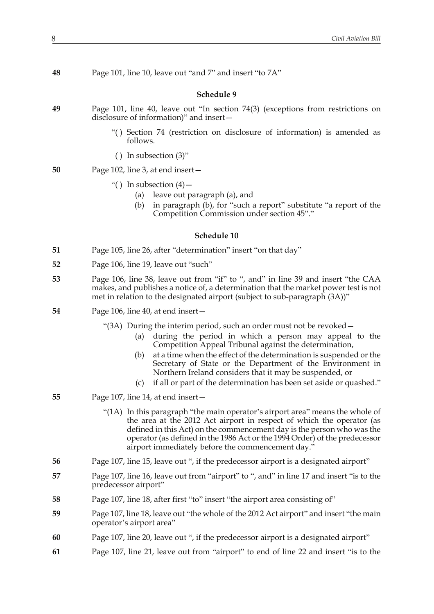| 48 | Page 101, line 10, leave out "and 7" and insert "to 7A"                                                                                                                                                                                                                                                                                                                                                                                                                            |
|----|------------------------------------------------------------------------------------------------------------------------------------------------------------------------------------------------------------------------------------------------------------------------------------------------------------------------------------------------------------------------------------------------------------------------------------------------------------------------------------|
|    | Schedule 9                                                                                                                                                                                                                                                                                                                                                                                                                                                                         |
| 49 | Page 101, line 40, leave out "In section 74(3) (exceptions from restrictions on<br>disclosure of information)" and insert-                                                                                                                                                                                                                                                                                                                                                         |
|    | "() Section 74 (restriction on disclosure of information) is amended as<br>follows.                                                                                                                                                                                                                                                                                                                                                                                                |
|    | () In subsection $(3)$ "                                                                                                                                                                                                                                                                                                                                                                                                                                                           |
| 50 | Page 102, line 3, at end insert-                                                                                                                                                                                                                                                                                                                                                                                                                                                   |
|    | "() In subsection $(4)$ –<br>leave out paragraph (a), and<br>(a)<br>in paragraph (b), for "such a report" substitute "a report of the<br>(b)<br>Competition Commission under section 45"."                                                                                                                                                                                                                                                                                         |
|    | Schedule 10                                                                                                                                                                                                                                                                                                                                                                                                                                                                        |
| 51 | Page 105, line 26, after "determination" insert "on that day"                                                                                                                                                                                                                                                                                                                                                                                                                      |
| 52 | Page 106, line 19, leave out "such"                                                                                                                                                                                                                                                                                                                                                                                                                                                |
| 53 | Page 106, line 38, leave out from "if" to ", and" in line 39 and insert "the CAA<br>makes, and publishes a notice of, a determination that the market power test is not<br>met in relation to the designated airport (subject to sub-paragraph (3A))"                                                                                                                                                                                                                              |
| 54 | Page 106, line 40, at end insert -                                                                                                                                                                                                                                                                                                                                                                                                                                                 |
|    | "(3A) During the interim period, such an order must not be revoked –<br>during the period in which a person may appeal to the<br>(a)<br>Competition Appeal Tribunal against the determination,<br>at a time when the effect of the determination is suspended or the<br>(b)<br>Secretary of State or the Department of the Environment in<br>Northern Ireland considers that it may be suspended, or<br>if all or part of the determination has been set aside or quashed."<br>(c) |
| 55 | Page 107, line 14, at end insert -                                                                                                                                                                                                                                                                                                                                                                                                                                                 |
|    | "(1A) In this paragraph "the main operator's airport area" means the whole of<br>the area at the 2012 Act airport in respect of which the operator (as<br>defined in this Act) on the commencement day is the person who was the<br>operator (as defined in the 1986 Act or the 1994 Order) of the predecessor<br>airport immediately before the commencement day."                                                                                                                |
| 56 | Page 107, line 15, leave out ", if the predecessor airport is a designated airport"                                                                                                                                                                                                                                                                                                                                                                                                |
| 57 | Page 107, line 16, leave out from "airport" to ", and" in line 17 and insert "is to the<br>predecessor airport"                                                                                                                                                                                                                                                                                                                                                                    |
| 58 | Page 107, line 18, after first "to" insert "the airport area consisting of"                                                                                                                                                                                                                                                                                                                                                                                                        |
| 59 | Page 107, line 18, leave out "the whole of the 2012 Act airport" and insert "the main<br>operator's airport area"                                                                                                                                                                                                                                                                                                                                                                  |
| 60 | Page 107, line 20, leave out ", if the predecessor airport is a designated airport"                                                                                                                                                                                                                                                                                                                                                                                                |
| 61 | Page 107, line 21, leave out from "airport" to end of line 22 and insert "is to the                                                                                                                                                                                                                                                                                                                                                                                                |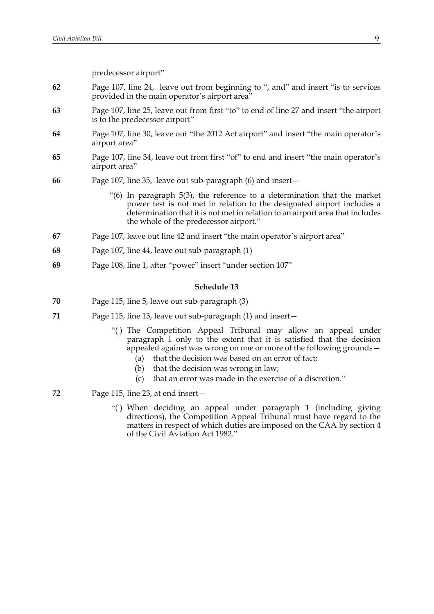predecessor airport"

- **62** Page 107, line 24, leave out from beginning to ", and" and insert "is to services provided in the main operator's airport area"
- **63** Page 107, line 25, leave out from first "to" to end of line 27 and insert "the airport is to the predecessor airport"
- **64** Page 107, line 30, leave out "the 2012 Act airport" and insert "the main operator's airport area"
- **65** Page 107, line 34, leave out from first "of" to end and insert "the main operator's airport area"
- **66** Page 107, line 35, leave out sub-paragraph (6) and insert—
	- "(6) In paragraph 5(3), the reference to a determination that the market power test is not met in relation to the designated airport includes a determination that it is not met in relation to an airport area that includes the whole of the predecessor airport."
- **67** Page 107, leave out line 42 and insert "the main operator's airport area"
- **68** Page 107, line 44, leave out sub-paragraph (1)
- **69** Page 108, line 1, after "power" insert "under section 107"

- **70** Page 115, line 5, leave out sub-paragraph (3)
- **71** Page 115, line 13, leave out sub-paragraph (1) and insert—
	- "( ) The Competition Appeal Tribunal may allow an appeal under paragraph 1 only to the extent that it is satisfied that the decision appealed against was wrong on one or more of the following grounds—
		- (a) that the decision was based on an error of fact;
		- (b) that the decision was wrong in law;
		- (c) that an error was made in the exercise of a discretion."
- **72** Page 115, line 23, at end insert—
	- "( ) When deciding an appeal under paragraph 1 (including giving directions), the Competition Appeal Tribunal must have regard to the matters in respect of which duties are imposed on the CAA by section 4 of the Civil Aviation Act 1982."